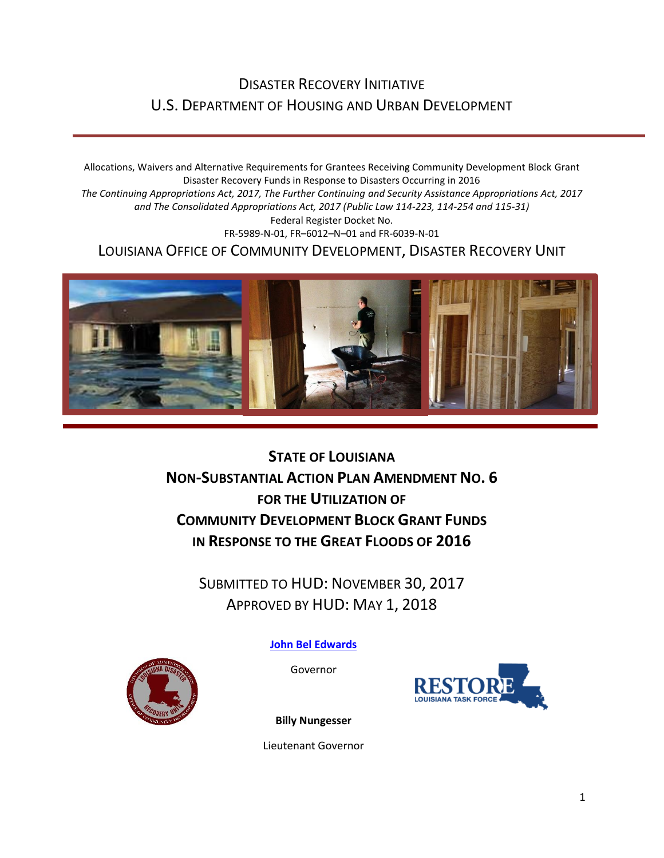## DISASTER RECOVERY INITIATIVE U.S. DEPARTMENT OF HOUSING AND URBAN DEVELOPMENT

Allocations, Waivers and Alternative Requirements for Grantees Receiving Community Development Block Grant Disaster Recovery Funds in Response to Disasters Occurring in 2016 *The Continuing Appropriations Act, 2017, The Further Continuing and Security Assistance Appropriations Act, 2017 and The Consolidated Appropriations Act, 2017 (Public Law 114-223, 114-254 and 115-31)* Federal Register Docket No. FR-5989-N-01, FR–6012–N–01 and FR-6039-N-01 LOUISIANA OFFICE OF COMMUNITY DEVELOPMENT, DISASTER RECOVERY UNIT



**STATE OF LOUISIANA NON-SUBSTANTIAL ACTION PLAN AMENDMENT NO. 6 FOR THE UTILIZATION OF COMMUNITY DEVELOPMENT BLOCK GRANT FUNDS IN RESPONSE TO THE GREAT FLOODS OF 2016**

SUBMITTED TO HUD: NOVEMBER 30, 2017 APPROVED BY HUD: MAY 1, 2018

**[John Bel Edwards](https://www.facebook.com/LouisianaGov/)**

Governor





**Billy Nungesser**

Lieutenant Governor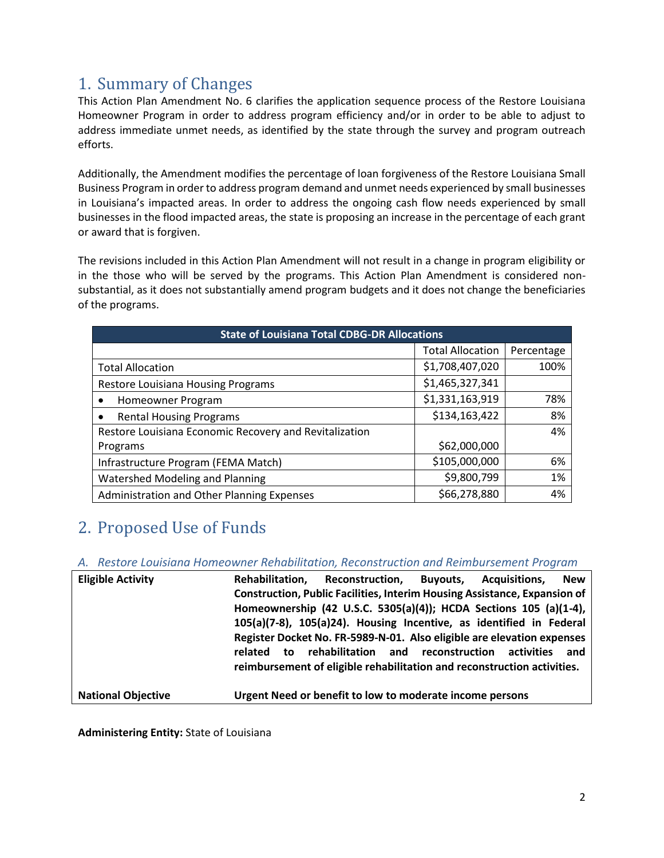## 1. Summary of Changes

This Action Plan Amendment No. 6 clarifies the application sequence process of the Restore Louisiana Homeowner Program in order to address program efficiency and/or in order to be able to adjust to address immediate unmet needs, as identified by the state through the survey and program outreach efforts.

Additionally, the Amendment modifies the percentage of loan forgiveness of the Restore Louisiana Small Business Program in order to address program demand and unmet needs experienced by small businesses in Louisiana's impacted areas. In order to address the ongoing cash flow needs experienced by small businesses in the flood impacted areas, the state is proposing an increase in the percentage of each grant or award that is forgiven.

The revisions included in this Action Plan Amendment will not result in a change in program eligibility or in the those who will be served by the programs. This Action Plan Amendment is considered nonsubstantial, as it does not substantially amend program budgets and it does not change the beneficiaries of the programs.

| <b>State of Louisiana Total CDBG-DR Allocations</b>    |                         |            |  |  |  |
|--------------------------------------------------------|-------------------------|------------|--|--|--|
|                                                        | <b>Total Allocation</b> | Percentage |  |  |  |
| <b>Total Allocation</b>                                | \$1,708,407,020         | 100%       |  |  |  |
| Restore Louisiana Housing Programs                     | \$1,465,327,341         |            |  |  |  |
| Homeowner Program                                      | \$1,331,163,919         | 78%        |  |  |  |
| <b>Rental Housing Programs</b>                         | \$134,163,422           | 8%         |  |  |  |
| Restore Louisiana Economic Recovery and Revitalization |                         | 4%         |  |  |  |
| Programs                                               | \$62,000,000            |            |  |  |  |
| Infrastructure Program (FEMA Match)                    | \$105,000,000           | 6%         |  |  |  |
| Watershed Modeling and Planning                        | \$9,800,799             | 1%         |  |  |  |
| Administration and Other Planning Expenses             | \$66,278,880            | 4%         |  |  |  |

## 2. Proposed Use of Funds

*A. Restore Louisiana Homeowner Rehabilitation, Reconstruction and Reimbursement Program* 

| <b>Eligible Activity</b>  | Rehabilitation. | <b>Reconstruction,</b>                                                           | <b>Buvouts.</b> | Acquisitions. | <b>New</b> |
|---------------------------|-----------------|----------------------------------------------------------------------------------|-----------------|---------------|------------|
|                           |                 | <b>Construction, Public Facilities, Interim Housing Assistance, Expansion of</b> |                 |               |            |
|                           |                 | Homeownership (42 U.S.C. 5305(a)(4)); HCDA Sections 105 (a)(1-4),                |                 |               |            |
|                           |                 | 105(a)(7-8), 105(a)24). Housing Incentive, as identified in Federal              |                 |               |            |
|                           |                 | Register Docket No. FR-5989-N-01. Also eligible are elevation expenses           |                 |               |            |
|                           | related<br>to   | rehabilitation and reconstruction activities                                     |                 |               | and        |
|                           |                 | reimbursement of eligible rehabilitation and reconstruction activities.          |                 |               |            |
| <b>National Objective</b> |                 | Urgent Need or benefit to low to moderate income persons                         |                 |               |            |

**Administering Entity:** State of Louisiana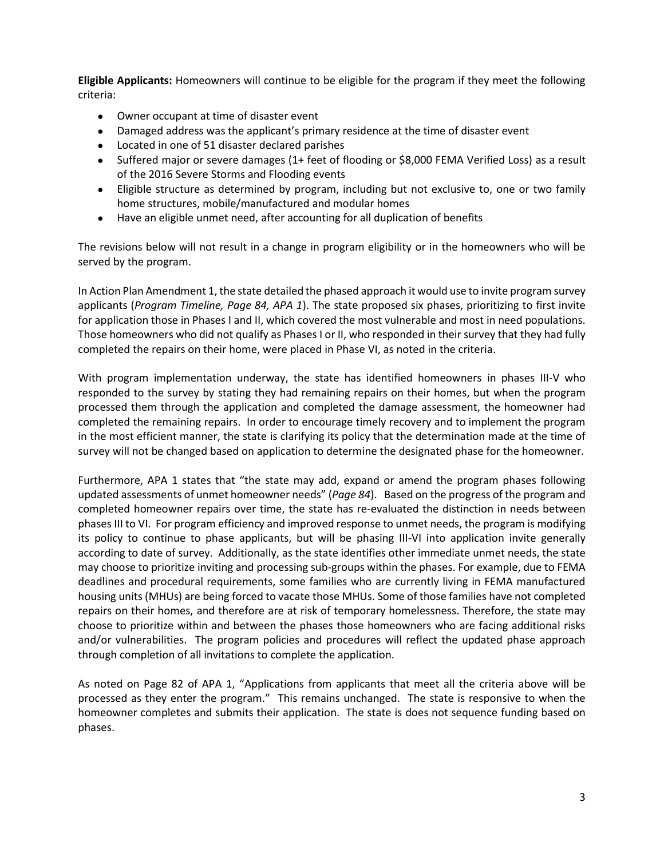**Eligible Applicants:** Homeowners will continue to be eligible for the program if they meet the following criteria:

- Owner occupant at time of disaster event
- Damaged address was the applicant's primary residence at the time of disaster event
- Located in one of 51 disaster declared parishes
- Suffered major or severe damages (1+ feet of flooding or \$8,000 FEMA Verified Loss) as a result of the 2016 Severe Storms and Flooding events
- Eligible structure as determined by program, including but not exclusive to, one or two family home structures, mobile/manufactured and modular homes
- Have an eligible unmet need, after accounting for all duplication of benefits

The revisions below will not result in a change in program eligibility or in the homeowners who will be served by the program.

In Action Plan Amendment 1, the state detailed the phased approach it would use to invite program survey applicants (*Program Timeline, Page 84, APA 1*). The state proposed six phases, prioritizing to first invite for application those in Phases I and II, which covered the most vulnerable and most in need populations. Those homeowners who did not qualify as Phases I or II, who responded in their survey that they had fully completed the repairs on their home, were placed in Phase VI, as noted in the criteria.

With program implementation underway, the state has identified homeowners in phases III-V who responded to the survey by stating they had remaining repairs on their homes, but when the program processed them through the application and completed the damage assessment, the homeowner had completed the remaining repairs. In order to encourage timely recovery and to implement the program in the most efficient manner, the state is clarifying its policy that the determination made at the time of survey will not be changed based on application to determine the designated phase for the homeowner.

Furthermore, APA 1 states that "the state may add, expand or amend the program phases following updated assessments of unmet homeowner needs" (*Page 84*). Based on the progress of the program and completed homeowner repairs over time, the state has re-evaluated the distinction in needs between phases III to VI. For program efficiency and improved response to unmet needs, the program is modifying its policy to continue to phase applicants, but will be phasing III-VI into application invite generally according to date of survey. Additionally, as the state identifies other immediate unmet needs, the state may choose to prioritize inviting and processing sub-groups within the phases. For example, due to FEMA deadlines and procedural requirements, some families who are currently living in FEMA manufactured housing units (MHUs) are being forced to vacate those MHUs. Some of those families have not completed repairs on their homes, and therefore are at risk of temporary homelessness. Therefore, the state may choose to prioritize within and between the phases those homeowners who are facing additional risks and/or vulnerabilities. The program policies and procedures will reflect the updated phase approach through completion of all invitations to complete the application.

As noted on Page 82 of APA 1, "Applications from applicants that meet all the criteria above will be processed as they enter the program." This remains unchanged. The state is responsive to when the homeowner completes and submits their application. The state is does not sequence funding based on phases.